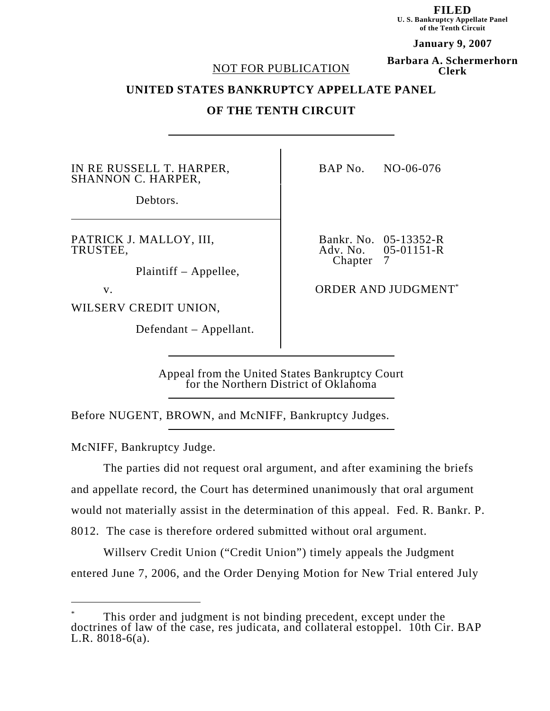**FILED U. S. Bankruptcy Appellate Panel of the Tenth Circuit**

**January 9, 2007 Barbara A. Schermerhorn**

**Clerk**

#### NOT FOR PUBLICATION

**UNITED STATES BANKRUPTCY APPELLATE PANEL**

# **OF THE TENTH CIRCUIT**

IN RE RUSSELL T. HARPER, SHANNON C. HARPER,

Debtors.

PATRICK J. MALLOY, III, TRUSTEE,

Plaintiff – Appellee,

WILSERV CREDIT UNION,

Defendant – Appellant.

BAP No. NO-06-076

Bankr. No. 05-13352-R  $05-01151-R$ Chapter 7

v. CONDER AND JUDGMENT<sup>\*</sup>

Appeal from the United States Bankruptcy Court for the Northern District of Oklahoma

Before NUGENT, BROWN, and McNIFF, Bankruptcy Judges.

McNIFF, Bankruptcy Judge.

The parties did not request oral argument, and after examining the briefs and appellate record, the Court has determined unanimously that oral argument would not materially assist in the determination of this appeal. Fed. R. Bankr. P. 8012. The case is therefore ordered submitted without oral argument.

Willserv Credit Union ("Credit Union") timely appeals the Judgment entered June 7, 2006, and the Order Denying Motion for New Trial entered July

<sup>\*</sup> This order and judgment is not binding precedent, except under the doctrines of law of the case, res judicata, and collateral estoppel. 10th Cir. BAP L.R. 8018-6(a).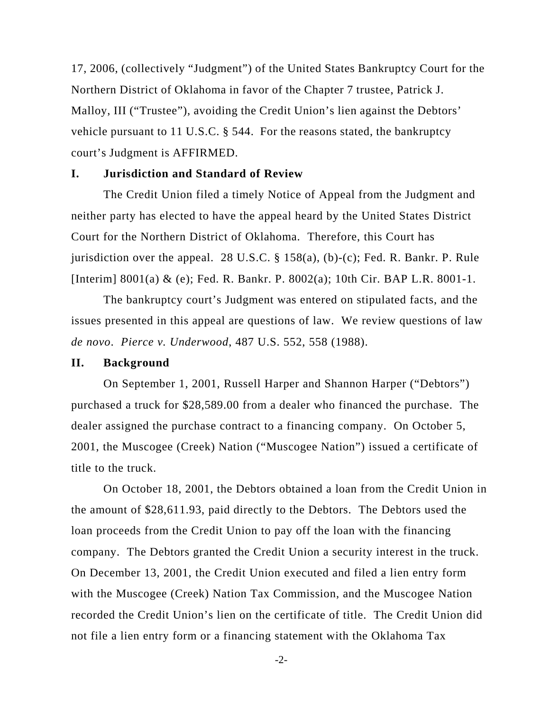17, 2006, (collectively "Judgment") of the United States Bankruptcy Court for the Northern District of Oklahoma in favor of the Chapter 7 trustee, Patrick J. Malloy, III ("Trustee"), avoiding the Credit Union's lien against the Debtors' vehicle pursuant to 11 U.S.C. § 544. For the reasons stated, the bankruptcy court's Judgment is AFFIRMED.

### **I. Jurisdiction and Standard of Review**

The Credit Union filed a timely Notice of Appeal from the Judgment and neither party has elected to have the appeal heard by the United States District Court for the Northern District of Oklahoma. Therefore, this Court has jurisdiction over the appeal. 28 U.S.C. § 158(a), (b)-(c); Fed. R. Bankr. P. Rule [Interim] 8001(a) & (e); Fed. R. Bankr. P. 8002(a); 10th Cir. BAP L.R. 8001-1.

The bankruptcy court's Judgment was entered on stipulated facts, and the issues presented in this appeal are questions of law. We review questions of law *de novo*. *Pierce v. Underwood*, 487 U.S. 552, 558 (1988).

#### **II. Background**

On September 1, 2001, Russell Harper and Shannon Harper ("Debtors") purchased a truck for \$28,589.00 from a dealer who financed the purchase. The dealer assigned the purchase contract to a financing company. On October 5, 2001, the Muscogee (Creek) Nation ("Muscogee Nation") issued a certificate of title to the truck.

On October 18, 2001, the Debtors obtained a loan from the Credit Union in the amount of \$28,611.93, paid directly to the Debtors. The Debtors used the loan proceeds from the Credit Union to pay off the loan with the financing company. The Debtors granted the Credit Union a security interest in the truck. On December 13, 2001, the Credit Union executed and filed a lien entry form with the Muscogee (Creek) Nation Tax Commission, and the Muscogee Nation recorded the Credit Union's lien on the certificate of title. The Credit Union did not file a lien entry form or a financing statement with the Oklahoma Tax

-2-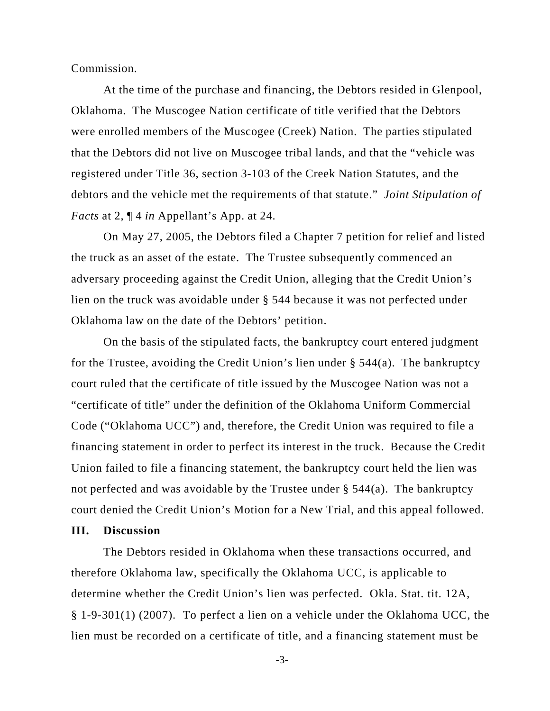Commission.

At the time of the purchase and financing, the Debtors resided in Glenpool, Oklahoma. The Muscogee Nation certificate of title verified that the Debtors were enrolled members of the Muscogee (Creek) Nation. The parties stipulated that the Debtors did not live on Muscogee tribal lands, and that the "vehicle was registered under Title 36, section 3-103 of the Creek Nation Statutes, and the debtors and the vehicle met the requirements of that statute." *Joint Stipulation of Facts* at 2, ¶ 4 *in* Appellant's App. at 24.

On May 27, 2005, the Debtors filed a Chapter 7 petition for relief and listed the truck as an asset of the estate. The Trustee subsequently commenced an adversary proceeding against the Credit Union, alleging that the Credit Union's lien on the truck was avoidable under § 544 because it was not perfected under Oklahoma law on the date of the Debtors' petition.

On the basis of the stipulated facts, the bankruptcy court entered judgment for the Trustee, avoiding the Credit Union's lien under  $\S$  544(a). The bankruptcy court ruled that the certificate of title issued by the Muscogee Nation was not a "certificate of title" under the definition of the Oklahoma Uniform Commercial Code ("Oklahoma UCC") and, therefore, the Credit Union was required to file a financing statement in order to perfect its interest in the truck. Because the Credit Union failed to file a financing statement, the bankruptcy court held the lien was not perfected and was avoidable by the Trustee under § 544(a). The bankruptcy court denied the Credit Union's Motion for a New Trial, and this appeal followed.

## **III. Discussion**

The Debtors resided in Oklahoma when these transactions occurred, and therefore Oklahoma law, specifically the Oklahoma UCC, is applicable to determine whether the Credit Union's lien was perfected. Okla. Stat. tit. 12A, § 1-9-301(1) (2007). To perfect a lien on a vehicle under the Oklahoma UCC, the lien must be recorded on a certificate of title, and a financing statement must be

-3-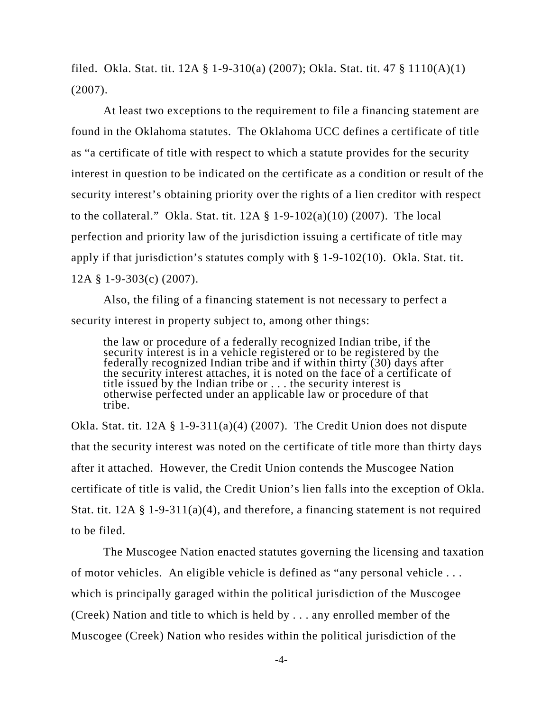filed. Okla. Stat. tit. 12A § 1-9-310(a) (2007); Okla. Stat. tit. 47 § 1110(A)(1)  $(2007)$ .

At least two exceptions to the requirement to file a financing statement are found in the Oklahoma statutes. The Oklahoma UCC defines a certificate of title as "a certificate of title with respect to which a statute provides for the security interest in question to be indicated on the certificate as a condition or result of the security interest's obtaining priority over the rights of a lien creditor with respect to the collateral." Okla. Stat. tit.  $12A \t\$  1-9-102(a)(10) (2007). The local perfection and priority law of the jurisdiction issuing a certificate of title may apply if that jurisdiction's statutes comply with § 1-9-102(10). Okla. Stat. tit. 12A § 1-9-303(c) (2007).

Also, the filing of a financing statement is not necessary to perfect a security interest in property subject to, among other things:

the law or procedure of a federally recognized Indian tribe, if the security interest is in a vehicle registered or to be registered by the federally recognized Indian tribe and if within thirty (30) days after the security interest attaches, it is noted on the face of a certificate of title issued by the Indian tribe or . . . the security interest is otherwise perfected under an applicable law or procedure of that tribe.

Okla. Stat. tit.  $12A \t S 1-9-311(a)(4)$  (2007). The Credit Union does not dispute that the security interest was noted on the certificate of title more than thirty days after it attached. However, the Credit Union contends the Muscogee Nation certificate of title is valid, the Credit Union's lien falls into the exception of Okla. Stat. tit.  $12A \t\$  1-9-311(a)(4), and therefore, a financing statement is not required to be filed.

The Muscogee Nation enacted statutes governing the licensing and taxation of motor vehicles. An eligible vehicle is defined as "any personal vehicle . . . which is principally garaged within the political jurisdiction of the Muscogee (Creek) Nation and title to which is held by . . . any enrolled member of the Muscogee (Creek) Nation who resides within the political jurisdiction of the

-4-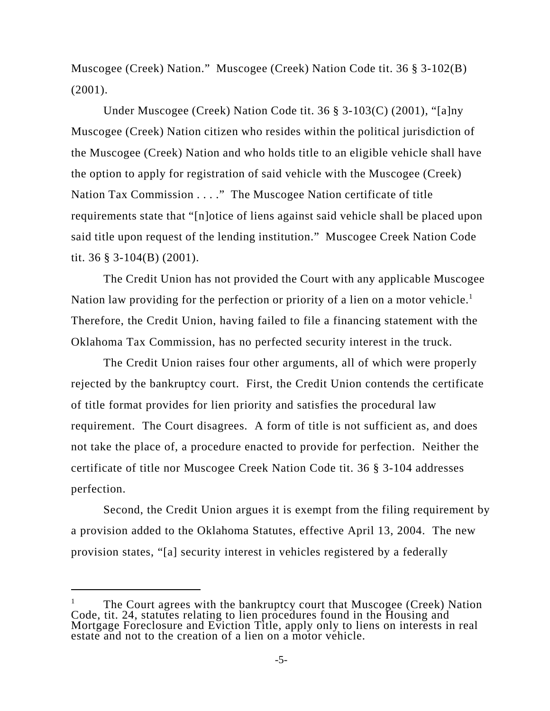Muscogee (Creek) Nation." Muscogee (Creek) Nation Code tit. 36 § 3-102(B)  $(2001)$ .

Under Muscogee (Creek) Nation Code tit. 36 § 3-103(C) (2001), "[a]ny Muscogee (Creek) Nation citizen who resides within the political jurisdiction of the Muscogee (Creek) Nation and who holds title to an eligible vehicle shall have the option to apply for registration of said vehicle with the Muscogee (Creek) Nation Tax Commission . . . ." The Muscogee Nation certificate of title requirements state that "[n]otice of liens against said vehicle shall be placed upon said title upon request of the lending institution." Muscogee Creek Nation Code tit. 36 § 3-104(B) (2001).

The Credit Union has not provided the Court with any applicable Muscogee Nation law providing for the perfection or priority of a lien on a motor vehicle.<sup>1</sup> Therefore, the Credit Union, having failed to file a financing statement with the Oklahoma Tax Commission, has no perfected security interest in the truck.

The Credit Union raises four other arguments, all of which were properly rejected by the bankruptcy court. First, the Credit Union contends the certificate of title format provides for lien priority and satisfies the procedural law requirement. The Court disagrees. A form of title is not sufficient as, and does not take the place of, a procedure enacted to provide for perfection. Neither the certificate of title nor Muscogee Creek Nation Code tit. 36 § 3-104 addresses perfection.

Second, the Credit Union argues it is exempt from the filing requirement by a provision added to the Oklahoma Statutes, effective April 13, 2004. The new provision states, "[a] security interest in vehicles registered by a federally

The Court agrees with the bankruptcy court that Muscogee (Creek) Nation Code, tit. 24, statutes relating to lien procedures found in the Housing and Mortgage Foreclosure and Eviction Title, apply only to liens on interests in real estate and not to the creation of a lien on a motor vehicle.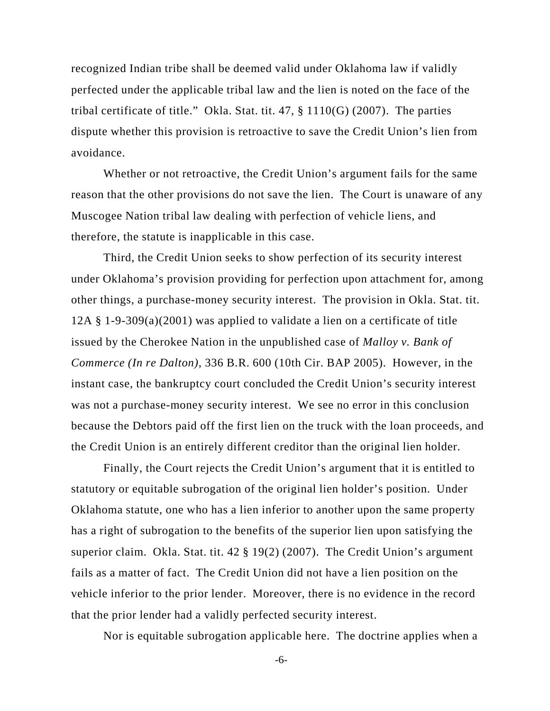recognized Indian tribe shall be deemed valid under Oklahoma law if validly perfected under the applicable tribal law and the lien is noted on the face of the tribal certificate of title." Okla. Stat. tit.  $47, \S 1110(G)$  (2007). The parties dispute whether this provision is retroactive to save the Credit Union's lien from avoidance.

Whether or not retroactive, the Credit Union's argument fails for the same reason that the other provisions do not save the lien. The Court is unaware of any Muscogee Nation tribal law dealing with perfection of vehicle liens, and therefore, the statute is inapplicable in this case.

Third, the Credit Union seeks to show perfection of its security interest under Oklahoma's provision providing for perfection upon attachment for, among other things, a purchase-money security interest. The provision in Okla. Stat. tit. 12A § 1-9-309(a)(2001) was applied to validate a lien on a certificate of title issued by the Cherokee Nation in the unpublished case of *Malloy v. Bank of Commerce (In re Dalton)*, 336 B.R. 600 (10th Cir. BAP 2005). However, in the instant case, the bankruptcy court concluded the Credit Union's security interest was not a purchase-money security interest. We see no error in this conclusion because the Debtors paid off the first lien on the truck with the loan proceeds, and the Credit Union is an entirely different creditor than the original lien holder.

Finally, the Court rejects the Credit Union's argument that it is entitled to statutory or equitable subrogation of the original lien holder's position. Under Oklahoma statute, one who has a lien inferior to another upon the same property has a right of subrogation to the benefits of the superior lien upon satisfying the superior claim. Okla. Stat. tit. 42 § 19(2) (2007). The Credit Union's argument fails as a matter of fact. The Credit Union did not have a lien position on the vehicle inferior to the prior lender. Moreover, there is no evidence in the record that the prior lender had a validly perfected security interest.

Nor is equitable subrogation applicable here. The doctrine applies when a

-6-